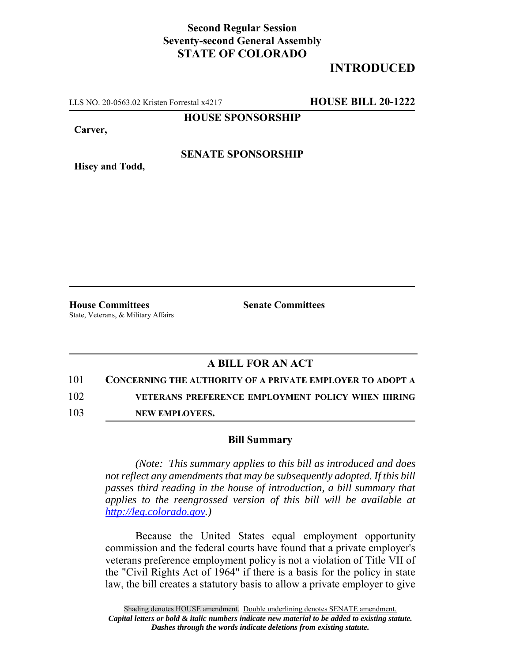## **Second Regular Session Seventy-second General Assembly STATE OF COLORADO**

# **INTRODUCED**

LLS NO. 20-0563.02 Kristen Forrestal x4217 **HOUSE BILL 20-1222**

**HOUSE SPONSORSHIP**

**Carver,**

**Hisey and Todd,**

#### **SENATE SPONSORSHIP**

**House Committees Senate Committees** State, Veterans, & Military Affairs

### **A BILL FOR AN ACT**

101 **CONCERNING THE AUTHORITY OF A PRIVATE EMPLOYER TO ADOPT A**

102 **VETERANS PREFERENCE EMPLOYMENT POLICY WHEN HIRING**

103 **NEW EMPLOYEES.**

#### **Bill Summary**

*(Note: This summary applies to this bill as introduced and does not reflect any amendments that may be subsequently adopted. If this bill passes third reading in the house of introduction, a bill summary that applies to the reengrossed version of this bill will be available at http://leg.colorado.gov.)*

Because the United States equal employment opportunity commission and the federal courts have found that a private employer's veterans preference employment policy is not a violation of Title VII of the "Civil Rights Act of 1964" if there is a basis for the policy in state law, the bill creates a statutory basis to allow a private employer to give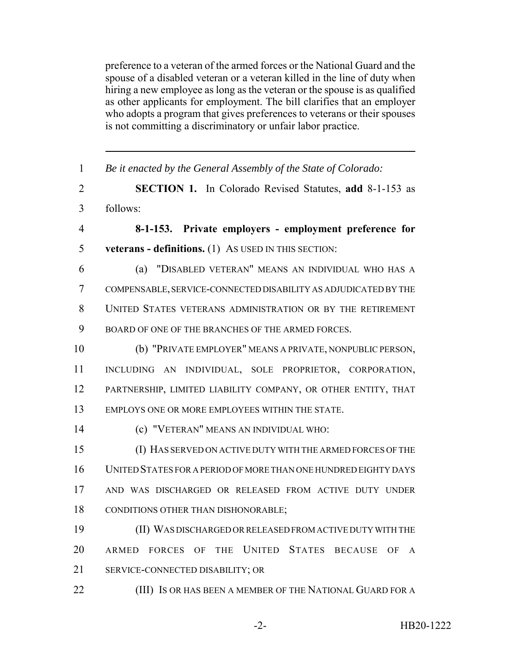preference to a veteran of the armed forces or the National Guard and the spouse of a disabled veteran or a veteran killed in the line of duty when hiring a new employee as long as the veteran or the spouse is as qualified as other applicants for employment. The bill clarifies that an employer who adopts a program that gives preferences to veterans or their spouses is not committing a discriminatory or unfair labor practice.

| $\mathbf{1}$   | Be it enacted by the General Assembly of the State of Colorado: |
|----------------|-----------------------------------------------------------------|
| 2              | <b>SECTION 1.</b> In Colorado Revised Statutes, add 8-1-153 as  |
| $\overline{3}$ | follows:                                                        |
| $\overline{4}$ | 8-1-153. Private employers - employment preference for          |
| 5              | <b>veterans - definitions.</b> (1) As USED IN THIS SECTION:     |
| 6              | (a) "DISABLED VETERAN" MEANS AN INDIVIDUAL WHO HAS A            |
| $\overline{7}$ | COMPENSABLE, SERVICE-CONNECTED DISABILITY AS ADJUDICATED BY THE |
| 8              | UNITED STATES VETERANS ADMINISTRATION OR BY THE RETIREMENT      |
| 9              | BOARD OF ONE OF THE BRANCHES OF THE ARMED FORCES.               |
| 10             | (b) "PRIVATE EMPLOYER" MEANS A PRIVATE, NONPUBLIC PERSON,       |
| 11             | INCLUDING AN INDIVIDUAL, SOLE PROPRIETOR, CORPORATION,          |
| 12             | PARTNERSHIP, LIMITED LIABILITY COMPANY, OR OTHER ENTITY, THAT   |
| 13             | EMPLOYS ONE OR MORE EMPLOYEES WITHIN THE STATE.                 |
| 14             | (c) "VETERAN" MEANS AN INDIVIDUAL WHO:                          |
| 15             | (I) HAS SERVED ON ACTIVE DUTY WITH THE ARMED FORCES OF THE      |
| 16             | UNITED STATES FOR A PERIOD OF MORE THAN ONE HUNDRED EIGHTY DAYS |
| 17             | AND WAS DISCHARGED OR RELEASED FROM ACTIVE DUTY UNDER           |
| 18             | CONDITIONS OTHER THAN DISHONORABLE;                             |
| 19             | (II) WAS DISCHARGED OR RELEASED FROM ACTIVE DUTY WITH THE       |
| 20             | ARMED FORCES OF THE UNITED STATES BECAUSE OF<br>$\mathsf{A}$    |
| 21             | SERVICE-CONNECTED DISABILITY; OR                                |
| 22             | (III) IS OR HAS BEEN A MEMBER OF THE NATIONAL GUARD FOR A       |